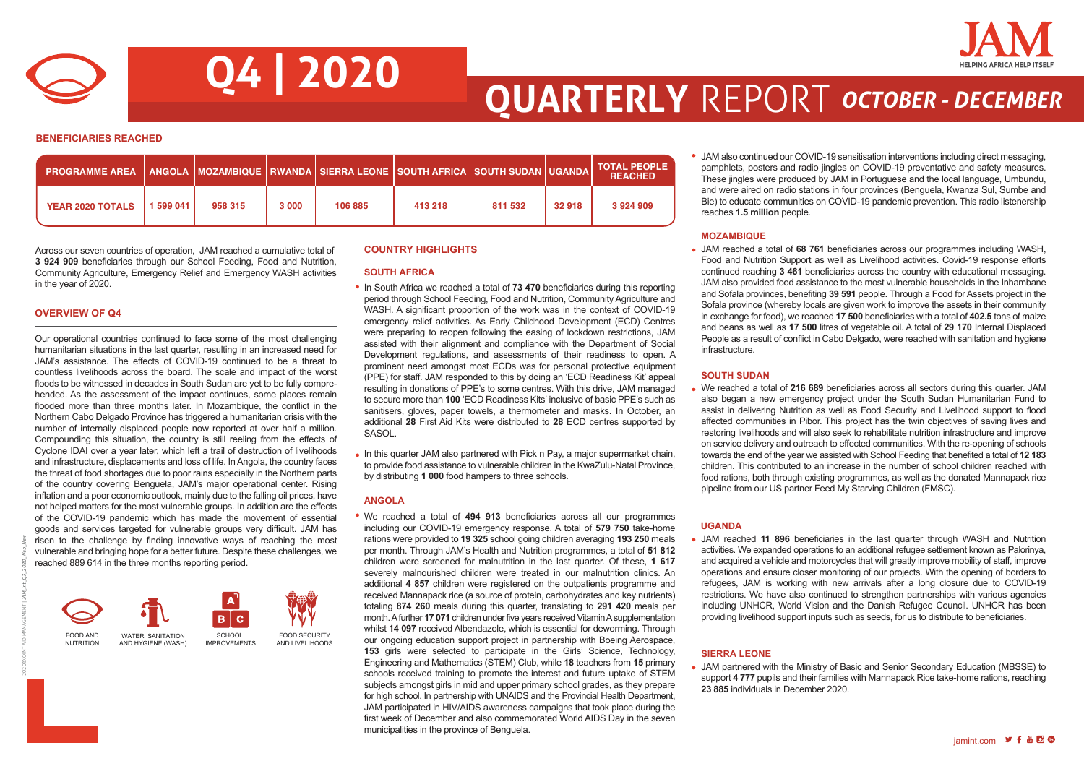

**Q4 | 2020**

## **QUARTERLY** REPORT *OCTOBER - DECEMBER*

**BENEFICIARIES REACHED**

| <b>PROGRAMME AREA</b>   |           |         |       | <u>  ANGOLA   MOZAMBIQUE   RWANDA   SIERRA LEONE   SOUTH AFRICA   SOUTH SUDAN   UGANDA   </u> |         |         |        | <b>TOTAL PEOPLE</b><br><b>REACHED</b> |
|-------------------------|-----------|---------|-------|-----------------------------------------------------------------------------------------------|---------|---------|--------|---------------------------------------|
| <b>YEAR 2020 TOTALS</b> | 1 599 041 | 958 315 | 3 000 | 106 885                                                                                       | 413 218 | 811 532 | 32 918 | 3924909                               |

Across our seven countries of operation, JAM reached a cumulative total of **3 924 909** beneficiaries through our School Feeding, Food and Nutrition, Community Agriculture, Emergency Relief and Emergency WASH activities in the year of 2020.

#### **OVERVIEW OF Q4**

2020©JOINT AID MANAGEMENT | *JAM\_Int\_Q3\_2020\_Web\_New*

Our operational countries continued to face some of the most challenging humanitarian situations in the last quarter, resulting in an increased need for JAM's assistance. The effects of COVID-19 continued to be a threat to countless livelihoods across the board. The scale and impact of the worst floods to be witnessed in decades in South Sudan are yet to be fully comprehended. As the assessment of the impact continues, some places remain flooded more than three months later. In Mozambique, the conflict in the Northern Cabo Delgado Province has triggered a humanitarian crisis with the number of internally displaced people now reported at over half a million. Compounding this situation, the country is still reeling from the effects of Cyclone IDAI over a year later, which left a trail of destruction of livelihoods and infrastructure, displacements and loss of life. In Angola, the country faces the threat of food shortages due to poor rains especially in the Northern parts of the country covering Benguela, JAM's major operational center. Rising inflation and a poor economic outlook, mainly due to the falling oil prices, have not helped matters for the most vulnerable groups. In addition are the effects of the COVID-19 pandemic which has made the movement of essential goods and services targeted for vulnerable groups very difficult. JAM has risen to the challenge by finding innovative ways of reaching the most vulnerable and bringing hope for a better future. Despite these challenges, we reached 889 614 in the three months reporting period.

#### FOOD AND NUTRITION FOOD SECURITY AND LIVELIHOODS WATER, SANITATION AND HYGIENE (WASH) SCHOOL IMPROVEMENTS

### **COUNTRY HIGHLIGHTS**

#### **SOUTH AFRICA**

In South Africa we reached a total of **73 470** beneficiaries during this reporting period through School Feeding, Food and Nutrition, Community Agriculture and WASH. A significant proportion of the work was in the context of COVID-19 emergency relief activities. As Early Childhood Development (ECD) Centres were preparing to reopen following the easing of lockdown restrictions, JAM assisted with their alignment and compliance with the Department of Social Development regulations, and assessments of their readiness to open. A prominent need amongst most ECDs was for personal protective equipment (PPE) for staff. JAM responded to this by doing an 'ECD Readiness Kit' appeal resulting in donations of PPE's to some centres. With this drive, JAM managed to secure more than **100** 'ECD Readiness Kits' inclusive of basic PPE's such as sanitisers, gloves, paper towels, a thermometer and masks. In October, an additional **28** First Aid Kits were distributed to **28** ECD centres supported by SASOL.

• In this quarter JAM also partnered with Pick n Pay, a major supermarket chain, to provide food assistance to vulnerable children in the KwaZulu-Natal Province, by distributing **1 000** food hampers to three schools.

#### **ANGOLA**

We reached a total of **494 913** beneficiaries across all our programmes including our COVID-19 emergency response. A total of **579 750** take-home rations were provided to **19 325** school going children averaging **193 250** meals per month. Through JAM's Health and Nutrition programmes, a total of **51 812**  children were screened for malnutrition in the last quarter. Of these, **1 617**  severely malnourished children were treated in our malnutrition clinics. An additional **4 857** children were registered on the outpatients programme and received Mannapack rice (a source of protein, carbohydrates and key nutrients) totaling **874 260** meals during this quarter, translating to **291 420** meals per month. A further **17 071** children under five years received Vitamin A supplementation whilst **14 097** received Albendazole, which is essential for deworming. Through our ongoing education support project in partnership with Boeing Aerospace, **153** girls were selected to participate in the Girls' Science, Technology, Engineering and Mathematics (STEM) Club, while **18** teachers from **15** primary schools received training to promote the interest and future uptake of STEM subjects amongst girls in mid and upper primary school grades, as they prepare for high school. In partnership with UNAIDS and the Provincial Health Department, JAM participated in HIV/AIDS awareness campaigns that took place during the first week of December and also commemorated World AIDS Day in the seven municipalities in the province of Benguela.

JAM also continued our COVID-19 sensitisation interventions including direct messaging, pamphlets, posters and radio jingles on COVID-19 preventative and safety measures. These jingles were produced by JAM in Portuguese and the local language, Umbundu, and were aired on radio stations in four provinces (Benguela, Kwanza Sul, Sumbe and Bie) to educate communities on COVID-19 pandemic prevention. This radio listenership reaches **1.5 million** people.

#### **MOZAMBIQUE**

JAM reached a total of **68 761** beneficiaries across our programmes including WASH, Food and Nutrition Support as well as Livelihood activities. Covid-19 response efforts continued reaching **3 461** beneficiaries across the country with educational messaging. JAM also provided food assistance to the most vulnerable households in the Inhambane and Sofala provinces, benefiting **39 591** people. Through a Food for Assets project in the Sofala province (whereby locals are given work to improve the assets in their community in exchange for food), we reached **17 500** beneficiaries with a total of **402.5** tons of maize and beans as well as **17 500** litres of vegetable oil. A total of **29 170** Internal Displaced People as a result of conflict in Cabo Delgado, were reached with sanitation and hygiene infrastructure.

#### **SOUTH SUDAN**

We reached a total of **216 689** beneficiaries across all sectors during this quarter. JAM also began a new emergency project under the South Sudan Humanitarian Fund to assist in delivering Nutrition as well as Food Security and Livelihood support to flood affected communities in Pibor. This project has the twin objectives of saving lives and restoring livelihoods and will also seek to rehabilitate nutrition infrastructure and improve on service delivery and outreach to effected communities. With the re-opening of schools towards the end of the year we assisted with School Feeding that benefited a total of **12 183** children. This contributed to an increase in the number of school children reached with food rations, both through existing programmes, as well as the donated Mannapack rice pipeline from our US partner Feed My Starving Children (FMSC).

#### **UGANDA**

JAM reached **11 896** beneficiaries in the last quarter through WASH and Nutrition activities. We expanded operations to an additional refugee settlement known as Palorinya, and acquired a vehicle and motorcycles that will greatly improve mobility of staff, improve operations and ensure closer monitoring of our projects. With the opening of borders to refugees, JAM is working with new arrivals after a long closure due to COVID-19 restrictions. We have also continued to strengthen partnerships with various agencies including UNHCR, World Vision and the Danish Refugee Council. UNHCR has been providing livelihood support inputs such as seeds, for us to distribute to beneficiaries.

#### **SIERRA LEONE**

JAM partnered with the Ministry of Basic and Senior Secondary Education (MBSSE) to support **4 777** pupils and their families with Mannapack Rice take-home rations, reaching **23 885** individuals in December 2020.